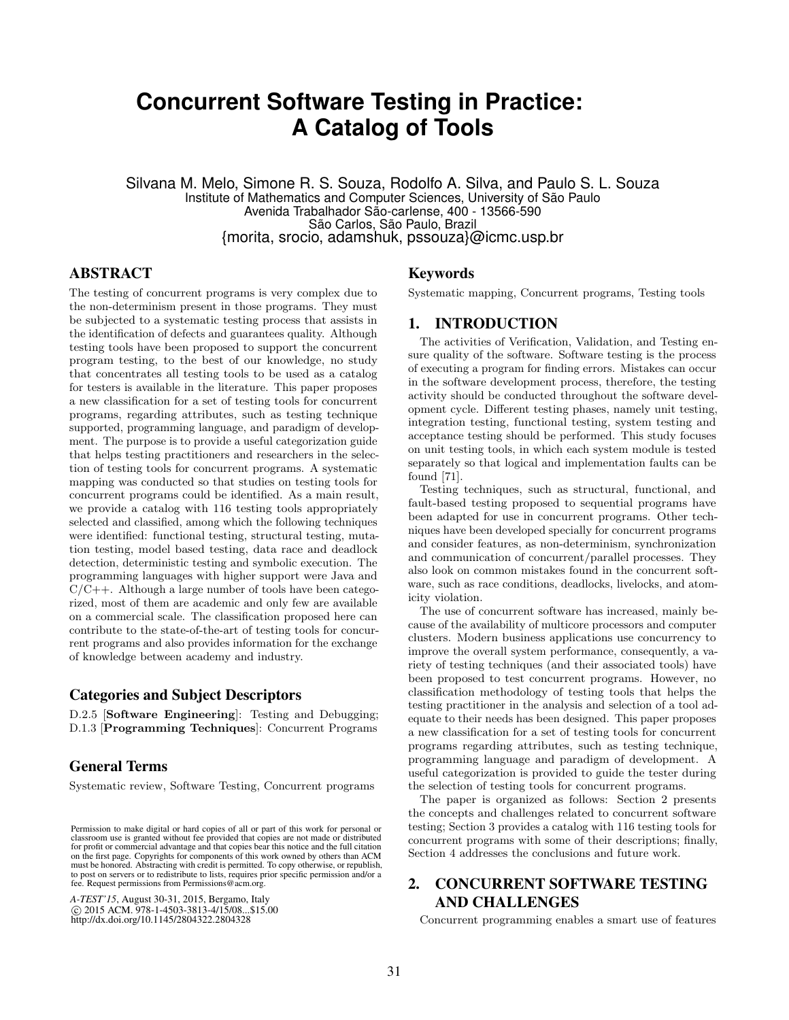# **Concurrent Software Testing in Practice: A Catalog of Tools**

Silvana M. Melo, Simone R. S. Souza, Rodolfo A. Silva, and Paulo S. L. Souza Institute of Mathematics and Computer Sciences, University of São Paulo Avenida Trabalhador São-carlense, 400 - 13566-590 São Carlos, São Paulo, Brazil {morita, srocio, adamshuk, pssouza}@icmc.usp.br

#### ABSTRACT

The testing of concurrent programs is very complex due to the non-determinism present in those programs. They must be subjected to a systematic testing process that assists in the identification of defects and guarantees quality. Although testing tools have been proposed to support the concurrent program testing, to the best of our knowledge, no study that concentrates all testing tools to be used as a catalog for testers is available in the literature. This paper proposes a new classification for a set of testing tools for concurrent programs, regarding attributes, such as testing technique supported, programming language, and paradigm of development. The purpose is to provide a useful categorization guide that helps testing practitioners and researchers in the selection of testing tools for concurrent programs. A systematic mapping was conducted so that studies on testing tools for concurrent programs could be identified. As a main result, we provide a catalog with 116 testing tools appropriately selected and classified, among which the following techniques were identified: functional testing, structural testing, mutation testing, model based testing, data race and deadlock detection, deterministic testing and symbolic execution. The programming languages with higher support were Java and  $C/C++$ . Although a large number of tools have been categorized, most of them are academic and only few are available on a commercial scale. The classification proposed here can contribute to the state-of-the-art of testing tools for concurrent programs and also provides information for the exchange of knowledge between academy and industry.

#### Categories and Subject Descriptors

D.2.5 [Software Engineering]: Testing and Debugging; D.1.3 [Programming Techniques]: Concurrent Programs

# General Terms

Systematic review, Software Testing, Concurrent programs

*A-TEST'15*, August 30-31, 2015, Bergamo, Italy c 2015 ACM. 978-1-4503-3813-4/15/08...\$15.00 http://dx.doi.org/10.1145/2804322.2804328

#### Keywords

Systematic mapping, Concurrent programs, Testing tools

#### 1. INTRODUCTION

The activities of Verification, Validation, and Testing ensure quality of the software. Software testing is the process of executing a program for finding errors. Mistakes can occur in the software development process, therefore, the testing activity should be conducted throughout the software development cycle. Different testing phases, namely unit testing, integration testing, functional testing, system testing and acceptance testing should be performed. This study focuses on unit testing tools, in which each system module is tested separately so that logical and implementation faults can be found [\[71\]](#page-7-0).

Testing techniques, such as structural, functional, and fault-based testing proposed to sequential programs have been adapted for use in concurrent programs. Other techniques have been developed specially for concurrent programs and consider features, as non-determinism, synchronization and communication of concurrent/parallel processes. They also look on common mistakes found in the concurrent software, such as race conditions, deadlocks, livelocks, and atomicity violation.

The use of concurrent software has increased, mainly because of the availability of multicore processors and computer clusters. Modern business applications use concurrency to improve the overall system performance, consequently, a variety of testing techniques (and their associated tools) have been proposed to test concurrent programs. However, no classification methodology of testing tools that helps the testing practitioner in the analysis and selection of a tool adequate to their needs has been designed. This paper proposes a new classification for a set of testing tools for concurrent programs regarding attributes, such as testing technique, programming language and paradigm of development. A useful categorization is provided to guide the tester during the selection of testing tools for concurrent programs.

The paper is organized as follows: Section [2](#page-0-0) presents the concepts and challenges related to concurrent software testing; Section [3](#page-1-0) provides a catalog with 116 testing tools for concurrent programs with some of their descriptions; finally, Section [4](#page-5-0) addresses the conclusions and future work.

# <span id="page-0-0"></span>2. CONCURRENT SOFTWARE TESTING AND CHALLENGES

Concurrent programming enables a smart use of features

Permission to make digital or hard copies of all or part of this work for personal or classroom use is granted without fee provided that copies are not made or distributed for profit or commercial advantage and that copies bear this notice and the full citation on the first page. Copyrights for components of this work owned by others than ACM must be honored. Abstracting with credit is permitted. To copy otherwise, or republish, to post on servers or to redistribute to lists, requires prior specific permission and/or a fee. Request permissions from Permissions@acm.org.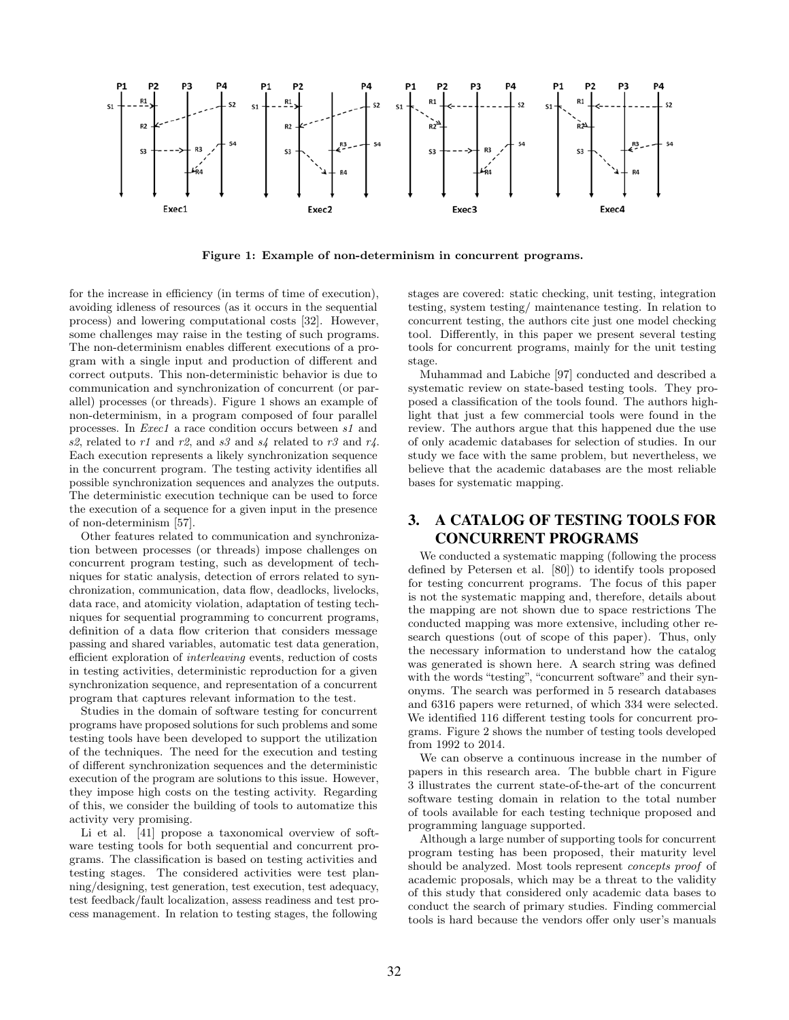

<span id="page-1-1"></span>Figure 1: Example of non-determinism in concurrent programs.

for the increase in efficiency (in terms of time of execution), avoiding idleness of resources (as it occurs in the sequential process) and lowering computational costs [\[32\]](#page-6-0). However, some challenges may raise in the testing of such programs. The non-determinism enables different executions of a program with a single input and production of different and correct outputs. This non-deterministic behavior is due to communication and synchronization of concurrent (or parallel) processes (or threads). Figure [1](#page-1-1) shows an example of non-determinism, in a program composed of four parallel processes. In Exec1 a race condition occurs between s1 and s2, related to r1 and r2, and s3 and s4 related to r3 and r4. Each execution represents a likely synchronization sequence in the concurrent program. The testing activity identifies all possible synchronization sequences and analyzes the outputs. The deterministic execution technique can be used to force the execution of a sequence for a given input in the presence of non-determinism [\[57\]](#page-7-1).

Other features related to communication and synchronization between processes (or threads) impose challenges on concurrent program testing, such as development of techniques for static analysis, detection of errors related to synchronization, communication, data flow, deadlocks, livelocks, data race, and atomicity violation, adaptation of testing techniques for sequential programming to concurrent programs, definition of a data flow criterion that considers message passing and shared variables, automatic test data generation, efficient exploration of interleaving events, reduction of costs in testing activities, deterministic reproduction for a given synchronization sequence, and representation of a concurrent program that captures relevant information to the test.

Studies in the domain of software testing for concurrent programs have proposed solutions for such problems and some testing tools have been developed to support the utilization of the techniques. The need for the execution and testing of different synchronization sequences and the deterministic execution of the program are solutions to this issue. However, they impose high costs on the testing activity. Regarding of this, we consider the building of tools to automatize this activity very promising.

Li et al. [\[41\]](#page-6-1) propose a taxonomical overview of software testing tools for both sequential and concurrent programs. The classification is based on testing activities and testing stages. The considered activities were test planning/designing, test generation, test execution, test adequacy, test feedback/fault localization, assess readiness and test process management. In relation to testing stages, the following

stages are covered: static checking, unit testing, integration testing, system testing/ maintenance testing. In relation to concurrent testing, the authors cite just one model checking tool. Differently, in this paper we present several testing tools for concurrent programs, mainly for the unit testing stage.

Muhammad and Labiche [\[97\]](#page-8-0) conducted and described a systematic review on state-based testing tools. They proposed a classification of the tools found. The authors highlight that just a few commercial tools were found in the review. The authors argue that this happened due the use of only academic databases for selection of studies. In our study we face with the same problem, but nevertheless, we believe that the academic databases are the most reliable bases for systematic mapping.

# <span id="page-1-0"></span>3. A CATALOG OF TESTING TOOLS FOR CONCURRENT PROGRAMS

We conducted a systematic mapping (following the process defined by Petersen et al. [\[80\]](#page-8-1)) to identify tools proposed for testing concurrent programs. The focus of this paper is not the systematic mapping and, therefore, details about the mapping are not shown due to space restrictions The conducted mapping was more extensive, including other research questions (out of scope of this paper). Thus, only the necessary information to understand how the catalog was generated is shown here. A search string was defined with the words "testing", "concurrent software" and their synonyms. The search was performed in 5 research databases and 6316 papers were returned, of which 334 were selected. We identified 116 different testing tools for concurrent programs. Figure [2](#page-2-0) shows the number of testing tools developed from 1992 to 2014.

We can observe a continuous increase in the number of papers in this research area. The bubble chart in Figure [3](#page-2-1) illustrates the current state-of-the-art of the concurrent software testing domain in relation to the total number of tools available for each testing technique proposed and programming language supported.

Although a large number of supporting tools for concurrent program testing has been proposed, their maturity level should be analyzed. Most tools represent concepts proof of academic proposals, which may be a threat to the validity of this study that considered only academic data bases to conduct the search of primary studies. Finding commercial tools is hard because the vendors offer only user's manuals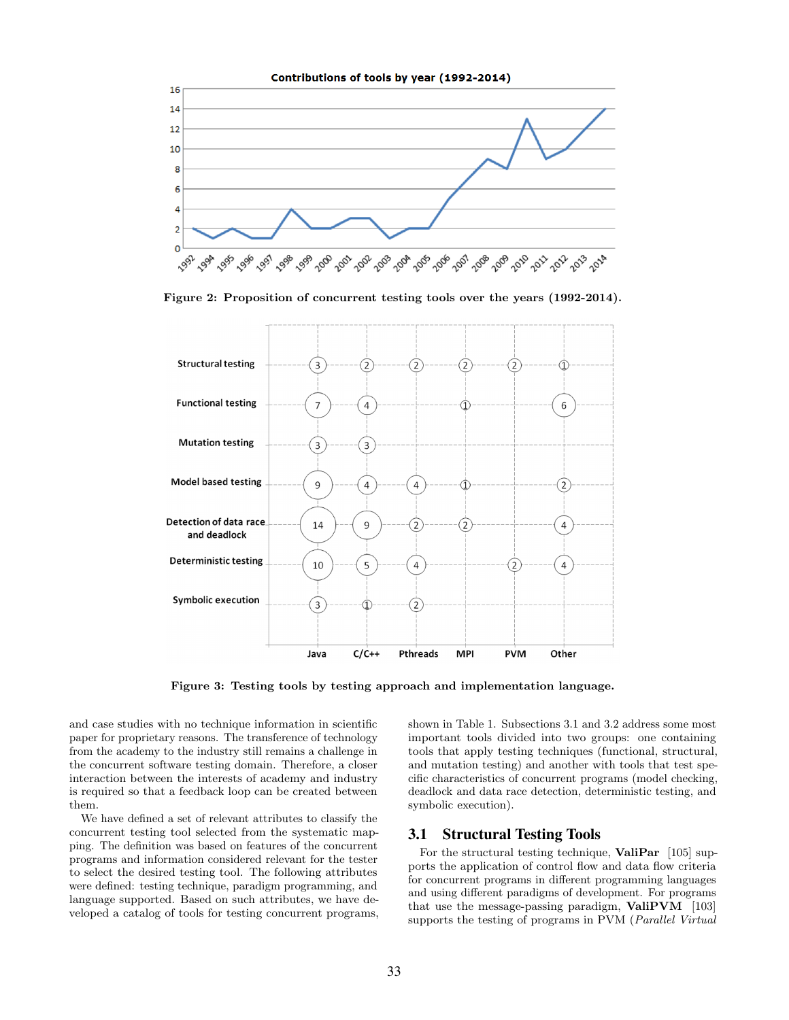



<span id="page-2-0"></span>Figure 2: Proposition of concurrent testing tools over the years (1992-2014).



<span id="page-2-1"></span>Figure 3: Testing tools by testing approach and implementation language.

and case studies with no technique information in scientific paper for proprietary reasons. The transference of technology from the academy to the industry still remains a challenge in the concurrent software testing domain. Therefore, a closer interaction between the interests of academy and industry is required so that a feedback loop can be created between them.

We have defined a set of relevant attributes to classify the concurrent testing tool selected from the systematic mapping. The definition was based on features of the concurrent programs and information considered relevant for the tester to select the desired testing tool. The following attributes were defined: testing technique, paradigm programming, and language supported. Based on such attributes, we have developed a catalog of tools for testing concurrent programs, shown in Table [1.](#page-3-0) Subsections 3.1 and 3.2 address some most important tools divided into two groups: one containing tools that apply testing techniques (functional, structural, and mutation testing) and another with tools that test specific characteristics of concurrent programs (model checking, deadlock and data race detection, deterministic testing, and symbolic execution).

#### 3.1 Structural Testing Tools

For the structural testing technique, **ValiPar** [\[105\]](#page-9-0) supports the application of control flow and data flow criteria for concurrent programs in different programming languages and using different paradigms of development. For programs that use the message-passing paradigm, ValiPVM [\[103\]](#page-9-1) supports the testing of programs in PVM (Parallel Virtual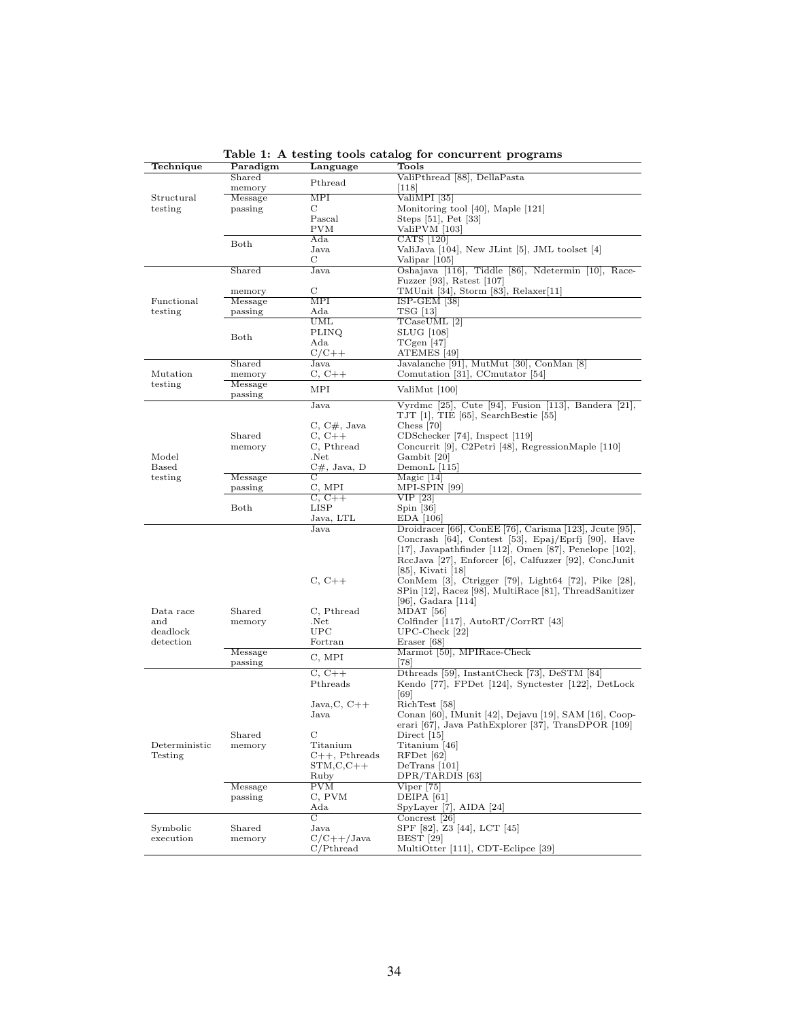| Technique             | Paradigm           | Language             | Tools                                                                  |
|-----------------------|--------------------|----------------------|------------------------------------------------------------------------|
|                       | Shared             | Pthread              | ValiPthread [88], DellaPasta                                           |
|                       | memory             |                      | 118                                                                    |
| Structural            | Message            | <b>MPI</b>           | ValiMPI [35]                                                           |
| testing               | passing            | С                    | Monitoring tool [40], Maple [121]                                      |
|                       |                    | Pascal<br><b>PVM</b> | Steps [51], Pet [33]<br>ValiPVM [103]                                  |
|                       |                    | Ada                  | CATS [120]                                                             |
|                       | Both               | Java                 | ValiJava [104], New JLint [5], JML toolset [4]                         |
|                       |                    | С                    | Valipar $ 105 $                                                        |
|                       | Shared             | Java                 | Oshajava [116], Tiddle [86], Ndetermin [10], Race-                     |
|                       |                    |                      | Fuzzer [93], Rstest $[107]$                                            |
|                       | memory             | C                    | TMUnit [34], Storm [83], Relaxer[11]                                   |
| Functional            | Message            | MPI                  | $ISP-GEN$ [38]                                                         |
| testing               | passing            | Ada                  | TSG [13]                                                               |
|                       |                    | $_{\rm UML}$         | TCaseUML [2]                                                           |
|                       | Both               | PLINQ<br>Ada         | <b>SLUG</b> [108]                                                      |
|                       |                    | $C/C++$              | $TCgen$ [47]<br>ATEMES [49]                                            |
|                       | Shared             | Java                 | Javalanche [91], MutMut [30], ConMan [8]                               |
| Mutation              | memory             | $C, C++$             | Comutation [31], CCmutator [54]                                        |
| testing               | Message            |                      |                                                                        |
|                       | passing            | MPI                  | ValiMut [100]                                                          |
|                       |                    | Java                 | Vyrdmc [25], Cute [94], Fusion [113], Bandera [21],                    |
|                       |                    |                      | $TJT$ [1], TIE [65], SearchBestie [55]                                 |
|                       |                    | C, C#, Java          | Chess $ 70 $                                                           |
|                       | Shared             | $C, C++$             | CDSchecker [74], Inspect [119]                                         |
|                       | memory             | C, Pthread           | Concurrit [9], C2Petri [48], RegressionMaple [110]                     |
| Model<br><b>Based</b> |                    | $.$ Net              | Gambit [20]                                                            |
| testing               | Message            | $C#$ , Java, D<br>С  | DemonL $[115]$<br>Magic [14]                                           |
|                       | passing            | C, MPI               | MPI-SPIN [99]                                                          |
|                       |                    | $C, C++$             | VIP [23]                                                               |
|                       | Both               | LISP                 | $Spin \,  36 $                                                         |
|                       |                    | Java, LTL            | $EDA$ [106]                                                            |
|                       |                    | Java                 | Droidracer [66], ConEE [76], Carisma [123], Jcute [95],                |
|                       |                    |                      | Concrash [64], Contest [53], Epaj/Eprfj [90], Have                     |
|                       |                    |                      | [17], Javapathfinder [112], Omen [87], Penelope [102],                 |
|                       |                    |                      | RecJava [27], Enforcer [6], Calfuzzer [92], ConcJunit                  |
|                       |                    | $C, C++$             | [85], Kivati [18]<br>ConMem 3, Ctrigger [79], Light64 [72], Pike [28], |
|                       |                    |                      | SPin [12], Racez [98], MultiRace [81], ThreadSanitizer                 |
|                       |                    |                      | $ 96 $ , Gadara $ 114 $                                                |
| Data race             | Shared             | C, Pthread           | $MDAT$ [56]                                                            |
| and                   | memory             | $.$ Net              | Colfinder [117], AutoRT/CorrRT [43]                                    |
| deadlock              |                    | <b>UPC</b>           | UPC-Check [22]                                                         |
| detection             |                    | Fortran              | Eraser [68]                                                            |
|                       | Message            | C, MPI               | Marmot [50], MPIRace-Check                                             |
|                       | passing            |                      | 78                                                                     |
|                       |                    | $C, C++$<br>Pthreads | Dthreads [59], InstantCheck [73], DeSTM [84]                           |
|                       |                    |                      | Kendo [77], FPDet [124], Synctester [122], DetLock<br> 69              |
|                       |                    | Java, $C, C++$       | RichTest [58]                                                          |
|                       |                    | Java                 | Conan [60], IMunit [42], Dejavu [19], SAM [16], Coop-                  |
|                       |                    |                      | erari [67], Java PathExplorer [37], TransDPOR [109]                    |
|                       | Shared             | С                    | Direct $ 15 $                                                          |
| Deterministic         | memory             | Titanium             | Titanium [46]                                                          |
| Testing               |                    | $C++$ , Pthreads     | RFDet [62]                                                             |
|                       |                    | $STM,C,C++$          | $DeTrans$ [101]                                                        |
|                       |                    | Ruby<br><b>PVM</b>   | DPR/TARDIS [63]                                                        |
|                       | Message<br>passing | C, PVM               | $Viper$ [75]<br>$DEIPA$ [61]                                           |
|                       |                    | Ada                  | SpyLayer $[7]$ , AIDA $[24]$                                           |
|                       |                    | C                    | Concrest [26]                                                          |
| Symbolic              | Shared             | Java                 | SPF [82], Z3 [44], LCT [45]                                            |
| execution             | memory             | $C/C++/Java$         | <b>BEST</b> [29]                                                       |
|                       |                    | C/Pthread            | MultiOtter [111], CDT-Eclipce [39]                                     |

<span id="page-3-0"></span>Table 1: A testing tools catalog for concurrent programs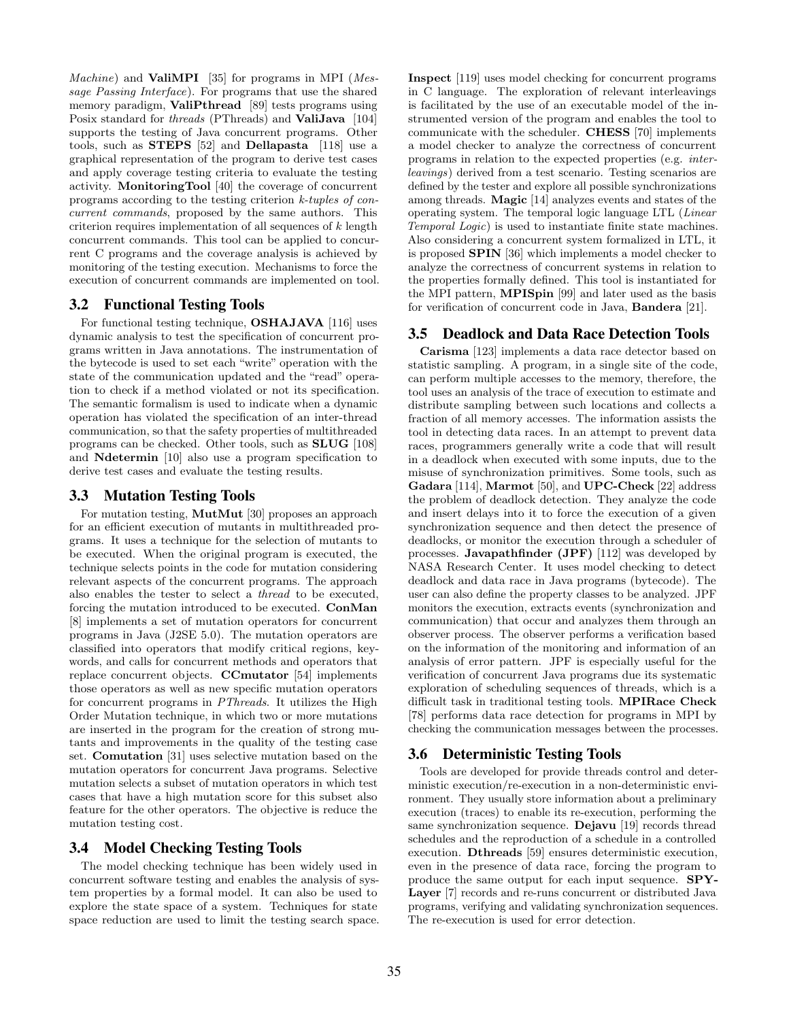$Machine)$  and **ValiMPI** [\[35\]](#page-6-2) for programs in MPI (*Mes*sage Passing Interface). For programs that use the shared memory paradigm, ValiPthread [\[89\]](#page-8-28) tests programs using Posix standard for *threads* (PThreads) and **ValiJava** [\[104\]](#page-9-5) supports the testing of Java concurrent programs. Other tools, such as STEPS [\[52\]](#page-7-28) and Dellapasta [\[118\]](#page-9-2) use a graphical representation of the program to derive test cases and apply coverage testing criteria to evaluate the testing activity. MonitoringTool [\[40\]](#page-6-3) the coverage of concurrent programs according to the testing criterion k-tuples of concurrent commands, proposed by the same authors. This criterion requires implementation of all sequences of  $k$  length concurrent commands. This tool can be applied to concurrent C programs and the coverage analysis is achieved by monitoring of the testing execution. Mechanisms to force the execution of concurrent commands are implemented on tool.

## 3.2 Functional Testing Tools

For functional testing technique, OSHAJAVA [\[116\]](#page-9-6) uses dynamic analysis to test the specification of concurrent programs written in Java annotations. The instrumentation of the bytecode is used to set each "write" operation with the state of the communication updated and the "read" operation to check if a method violated or not its specification. The semantic formalism is used to indicate when a dynamic operation has violated the specification of an inter-thread communication, so that the safety properties of multithreaded programs can be checked. Other tools, such as SLUG [\[108\]](#page-9-8) and Ndetermin [\[10\]](#page-5-3) also use a program specification to derive test cases and evaluate the testing results.

## 3.3 Mutation Testing Tools

For mutation testing, MutMut [\[30\]](#page-6-7) proposes an approach for an efficient execution of mutants in multithreaded programs. It uses a technique for the selection of mutants to be executed. When the original program is executed, the technique selects points in the code for mutation considering relevant aspects of the concurrent programs. The approach also enables the tester to select a thread to be executed, forcing the mutation introduced to be executed. ConMan [\[8\]](#page-5-7) implements a set of mutation operators for concurrent programs in Java (J2SE 5.0). The mutation operators are classified into operators that modify critical regions, keywords, and calls for concurrent methods and operators that replace concurrent objects. CCmutator [\[54\]](#page-7-5) implements those operators as well as new specific mutation operators for concurrent programs in PThreads. It utilizes the High Order Mutation technique, in which two or more mutations are inserted in the program for the creation of strong mutants and improvements in the quality of the testing case set. Comutation [\[31\]](#page-6-8) uses selective mutation based on the mutation operators for concurrent Java programs. Selective mutation selects a subset of mutation operators in which test cases that have a high mutation score for this subset also feature for the other operators. The objective is reduce the mutation testing cost.

## 3.4 Model Checking Testing Tools

The model checking technique has been widely used in concurrent software testing and enables the analysis of system properties by a formal model. It can also be used to explore the state space of a system. Techniques for state space reduction are used to limit the testing search space. Inspect [\[119\]](#page-9-10) uses model checking for concurrent programs in C language. The exploration of relevant interleavings is facilitated by the use of an executable model of the instrumented version of the program and enables the tool to communicate with the scheduler. CHESS [\[70\]](#page-7-8) implements a model checker to analyze the correctness of concurrent programs in relation to the expected properties (e.g. interleavings) derived from a test scenario. Testing scenarios are defined by the tester and explore all possible synchronizations among threads. Magic [\[14\]](#page-5-10) analyzes events and states of the operating system. The temporal logic language LTL (Linear Temporal Logic) is used to instantiate finite state machines. Also considering a concurrent system formalized in LTL, it is proposed SPIN [\[36\]](#page-6-13) which implements a model checker to analyze the correctness of concurrent systems in relation to the properties formally defined. This tool is instantiated for the MPI pattern, MPISpin [\[99\]](#page-8-10) and later used as the basis for verification of concurrent code in Java, Bandera [\[21\]](#page-6-10).

# 3.5 Deadlock and Data Race Detection Tools

Carisma [\[123\]](#page-9-14) implements a data race detector based on statistic sampling. A program, in a single site of the code, can perform multiple accesses to the memory, therefore, the tool uses an analysis of the trace of execution to estimate and distribute sampling between such locations and collects a fraction of all memory accesses. The information assists the tool in detecting data races. In an attempt to prevent data races, programmers generally write a code that will result in a deadlock when executed with some inputs, due to the misuse of synchronization primitives. Some tools, such as Gadara [\[114\]](#page-9-17), Marmot [\[50\]](#page-7-16), and UPC-Check [\[22\]](#page-6-19) address the problem of deadlock detection. They analyze the code and insert delays into it to force the execution of a given synchronization sequence and then detect the presence of deadlocks, or monitor the execution through a scheduler of processes. Javapathfinder (JPF) [\[112\]](#page-9-15) was developed by NASA Research Center. It uses model checking to detect deadlock and data race in Java programs (bytecode). The user can also define the property classes to be analyzed. JPF monitors the execution, extracts events (synchronization and communication) that occur and analyzes them through an observer process. The observer performs a verification based on the information of the monitoring and information of an analysis of error pattern. JPF is especially useful for the verification of concurrent Java programs due its systematic exploration of scheduling sequences of threads, which is a difficult task in traditional testing tools. MPIRace Check [\[78\]](#page-8-21) performs data race detection for programs in MPI by checking the communication messages between the processes.

# 3.6 Deterministic Testing Tools

Tools are developed for provide threads control and deterministic execution/re-execution in a non-deterministic environment. They usually store information about a preliminary execution (traces) to enable its re-execution, performing the same synchronization sequence. Dejavu [\[19\]](#page-6-21) records thread schedules and the reproduction of a schedule in a controlled execution. Dthreads [\[59\]](#page-7-17) ensures deterministic execution, even in the presence of data race, forcing the program to produce the same output for each input sequence. SPY-Layer [\[7\]](#page-5-15) records and re-runs concurrent or distributed Java programs, verifying and validating synchronization sequences. The re-execution is used for error detection.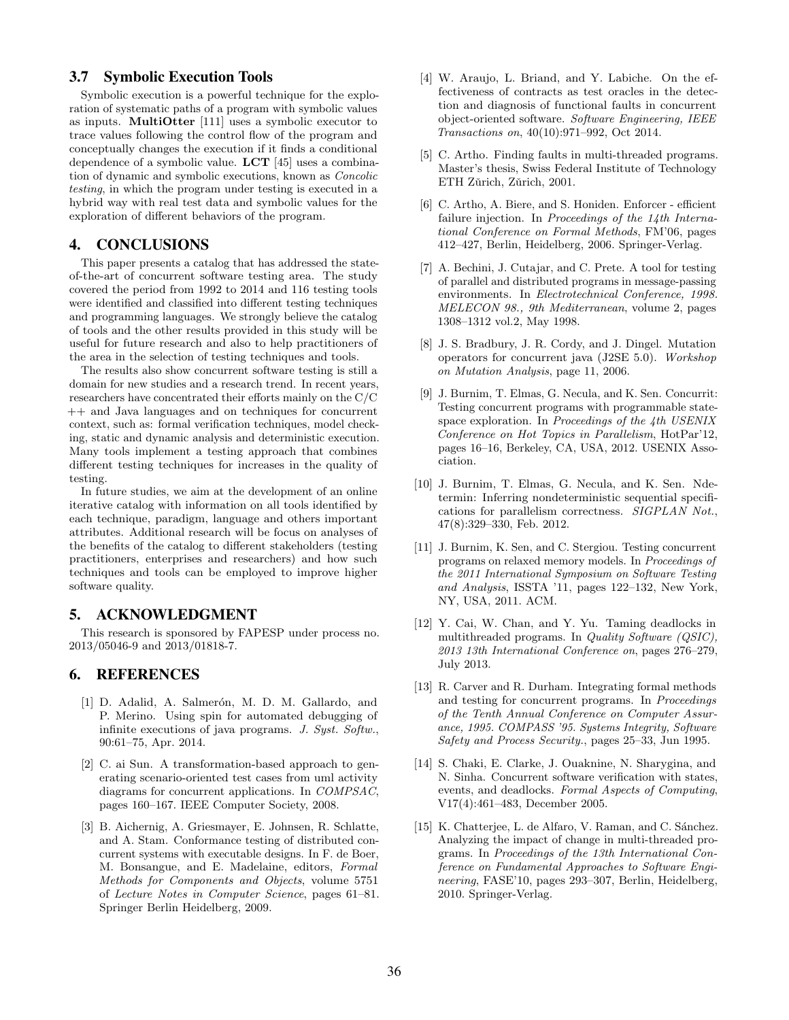## 3.7 Symbolic Execution Tools

Symbolic execution is a powerful technique for the exploration of systematic paths of a program with symbolic values as inputs. MultiOtter [\[111\]](#page-9-22) uses a symbolic executor to trace values following the control flow of the program and conceptually changes the execution if it finds a conditional dependence of a symbolic value. LCT [\[45\]](#page-7-27) uses a combination of dynamic and symbolic executions, known as Concolic testing, in which the program under testing is executed in a hybrid way with real test data and symbolic values for the exploration of different behaviors of the program.

## <span id="page-5-0"></span>4. CONCLUSIONS

This paper presents a catalog that has addressed the stateof-the-art of concurrent software testing area. The study covered the period from 1992 to 2014 and 116 testing tools were identified and classified into different testing techniques and programming languages. We strongly believe the catalog of tools and the other results provided in this study will be useful for future research and also to help practitioners of the area in the selection of testing techniques and tools.

The results also show concurrent software testing is still a domain for new studies and a research trend. In recent years, researchers have concentrated their efforts mainly on the C/C ++ and Java languages and on techniques for concurrent context, such as: formal verification techniques, model checking, static and dynamic analysis and deterministic execution. Many tools implement a testing approach that combines different testing techniques for increases in the quality of testing.

In future studies, we aim at the development of an online iterative catalog with information on all tools identified by each technique, paradigm, language and others important attributes. Additional research will be focus on analyses of the benefits of the catalog to different stakeholders (testing practitioners, enterprises and researchers) and how such techniques and tools can be employed to improve higher software quality.

#### 5. ACKNOWLEDGMENT

This research is sponsored by FAPESP under process no. 2013/05046-9 and 2013/01818-7.

## 6. REFERENCES

- <span id="page-5-8"></span>[1] D. Adalid, A. Salmerón, M. D. M. Gallardo, and P. Merino. Using spin for automated debugging of infinite executions of java programs. J. Syst. Softw., 90:61–75, Apr. 2014.
- <span id="page-5-6"></span>[2] C. ai Sun. A transformation-based approach to generating scenario-oriented test cases from uml activity diagrams for concurrent applications. In COMPSAC, pages 160–167. IEEE Computer Society, 2008.
- <span id="page-5-12"></span>[3] B. Aichernig, A. Griesmayer, E. Johnsen, R. Schlatte, and A. Stam. Conformance testing of distributed concurrent systems with executable designs. In F. de Boer, M. Bonsangue, and E. Madelaine, editors, Formal Methods for Components and Objects, volume 5751 of Lecture Notes in Computer Science, pages 61–81. Springer Berlin Heidelberg, 2009.
- <span id="page-5-2"></span>[4] W. Araujo, L. Briand, and Y. Labiche. On the effectiveness of contracts as test oracles in the detection and diagnosis of functional faults in concurrent object-oriented software. Software Engineering, IEEE Transactions on, 40(10):971–992, Oct 2014.
- <span id="page-5-1"></span>[5] C. Artho. Finding faults in multi-threaded programs. Master's thesis, Swiss Federal Institute of Technology ETH Zŭrich, Zürich, 2001.
- <span id="page-5-11"></span>[6] C. Artho, A. Biere, and S. Honiden. Enforcer - efficient failure injection. In Proceedings of the 14th International Conference on Formal Methods, FM'06, pages 412–427, Berlin, Heidelberg, 2006. Springer-Verlag.
- <span id="page-5-15"></span>[7] A. Bechini, J. Cutajar, and C. Prete. A tool for testing of parallel and distributed programs in message-passing environments. In Electrotechnical Conference, 1998. MELECON 98., 9th Mediterranean, volume 2, pages 1308–1312 vol.2, May 1998.
- <span id="page-5-7"></span>[8] J. S. Bradbury, J. R. Cordy, and J. Dingel. Mutation operators for concurrent java (J2SE 5.0). Workshop on Mutation Analysis, page 11, 2006.
- <span id="page-5-9"></span>[9] J. Burnim, T. Elmas, G. Necula, and K. Sen. Concurrit: Testing concurrent programs with programmable statespace exploration. In Proceedings of the 4th USENIX Conference on Hot Topics in Parallelism, HotPar'12, pages 16–16, Berkeley, CA, USA, 2012. USENIX Association.
- <span id="page-5-3"></span>[10] J. Burnim, T. Elmas, G. Necula, and K. Sen. Ndetermin: Inferring nondeterministic sequential specifications for parallelism correctness. SIGPLAN Not., 47(8):329–330, Feb. 2012.
- <span id="page-5-4"></span>[11] J. Burnim, K. Sen, and C. Stergiou. Testing concurrent programs on relaxed memory models. In Proceedings of the 2011 International Symposium on Software Testing and Analysis, ISSTA '11, pages 122–132, New York, NY, USA, 2011. ACM.
- <span id="page-5-13"></span>[12] Y. Cai, W. Chan, and Y. Yu. Taming deadlocks in multithreaded programs. In Quality Software (QSIC), 2013 13th International Conference on, pages 276–279, July 2013.
- <span id="page-5-5"></span>[13] R. Carver and R. Durham. Integrating formal methods and testing for concurrent programs. In Proceedings of the Tenth Annual Conference on Computer Assurance, 1995. COMPASS '95. Systems Integrity, Software Safety and Process Security., pages 25–33, Jun 1995.
- <span id="page-5-10"></span>[14] S. Chaki, E. Clarke, J. Ouaknine, N. Sharygina, and N. Sinha. Concurrent software verification with states, events, and deadlocks. Formal Aspects of Computing, V17(4):461–483, December 2005.
- <span id="page-5-14"></span>[15] K. Chatterjee, L. de Alfaro, V. Raman, and C. Sánchez. Analyzing the impact of change in multi-threaded programs. In Proceedings of the 13th International Conference on Fundamental Approaches to Software Engineering, FASE'10, pages 293–307, Berlin, Heidelberg, 2010. Springer-Verlag.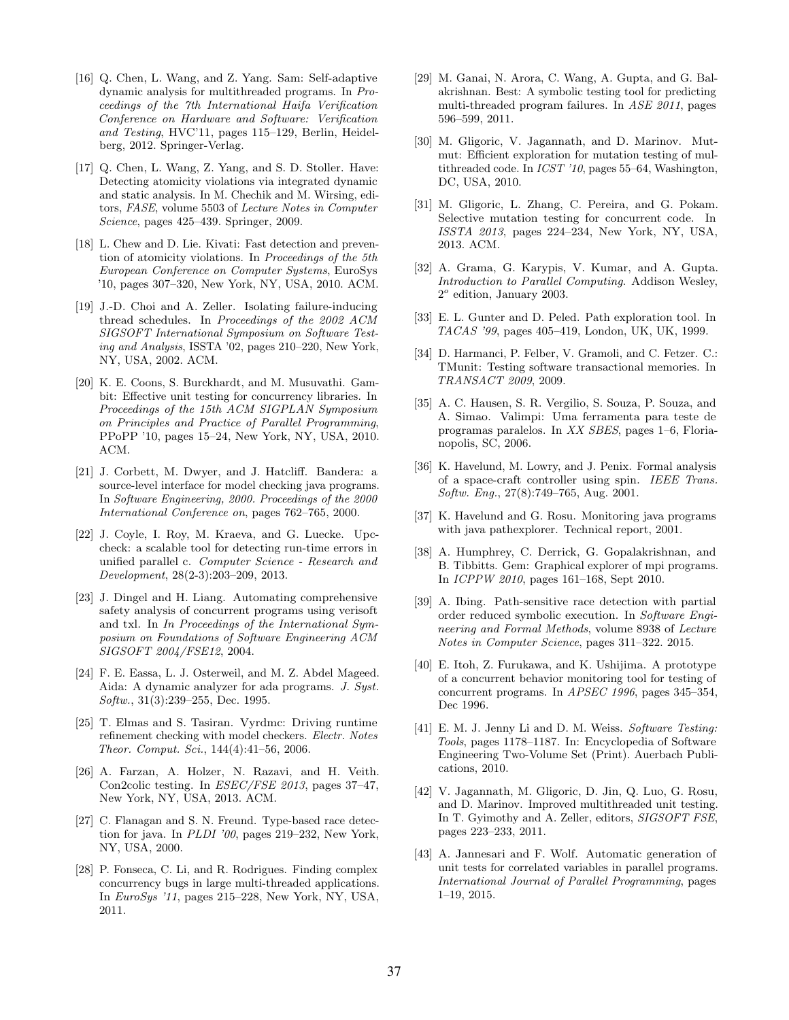- <span id="page-6-22"></span>[16] Q. Chen, L. Wang, and Z. Yang. Sam: Self-adaptive dynamic analysis for multithreaded programs. In Proceedings of the 7th International Haifa Verification Conference on Hardware and Software: Verification and Testing, HVC'11, pages 115–129, Berlin, Heidelberg, 2012. Springer-Verlag.
- <span id="page-6-14"></span>[17] Q. Chen, L. Wang, Z. Yang, and S. D. Stoller. Have: Detecting atomicity violations via integrated dynamic and static analysis. In M. Chechik and M. Wirsing, editors, FASE, volume 5503 of Lecture Notes in Computer Science, pages 425–439. Springer, 2009.
- <span id="page-6-16"></span>[18] L. Chew and D. Lie. Kivati: Fast detection and prevention of atomicity violations. In Proceedings of the 5th European Conference on Computer Systems, EuroSys '10, pages 307–320, New York, NY, USA, 2010. ACM.
- <span id="page-6-21"></span>[19] J.-D. Choi and A. Zeller. Isolating failure-inducing thread schedules. In Proceedings of the 2002 ACM SIGSOFT International Symposium on Software Testing and Analysis, ISSTA '02, pages 210–220, New York, NY, USA, 2002. ACM.
- <span id="page-6-11"></span>[20] K. E. Coons, S. Burckhardt, and M. Musuvathi. Gambit: Effective unit testing for concurrency libraries. In Proceedings of the 15th ACM SIGPLAN Symposium on Principles and Practice of Parallel Programming, PPoPP '10, pages 15–24, New York, NY, USA, 2010. ACM.
- <span id="page-6-10"></span>[21] J. Corbett, M. Dwyer, and J. Hatcliff. Bandera: a source-level interface for model checking java programs. In Software Engineering, 2000. Proceedings of the 2000 International Conference on, pages 762–765, 2000.
- <span id="page-6-19"></span>[22] J. Coyle, I. Roy, M. Kraeva, and G. Luecke. Upccheck: a scalable tool for detecting run-time errors in unified parallel c. Computer Science - Research and Development, 28(2-3):203–209, 2013.
- <span id="page-6-12"></span>[23] J. Dingel and H. Liang. Automating comprehensive safety analysis of concurrent programs using verisoft and txl. In In Proceedings of the International Symposium on Foundations of Software Engineering ACM SIGSOFT 2004/FSE12, 2004.
- <span id="page-6-24"></span>[24] F. E. Eassa, L. J. Osterweil, and M. Z. Abdel Mageed. Aida: A dynamic analyzer for ada programs. J. Syst. Softw., 31(3):239–255, Dec. 1995.
- <span id="page-6-9"></span>[25] T. Elmas and S. Tasiran. Vyrdmc: Driving runtime refinement checking with model checkers. Electr. Notes Theor. Comput. Sci., 144(4):41–56, 2006.
- <span id="page-6-25"></span>[26] A. Farzan, A. Holzer, N. Razavi, and H. Veith. Con2colic testing. In ESEC/FSE 2013, pages 37–47, New York, NY, USA, 2013. ACM.
- <span id="page-6-15"></span>[27] C. Flanagan and S. N. Freund. Type-based race detection for java. In PLDI '00, pages 219–232, New York, NY, USA, 2000.
- <span id="page-6-17"></span>[28] P. Fonseca, C. Li, and R. Rodrigues. Finding complex concurrency bugs in large multi-threaded applications. In EuroSys '11, pages 215–228, New York, NY, USA, 2011.
- <span id="page-6-26"></span>[29] M. Ganai, N. Arora, C. Wang, A. Gupta, and G. Balakrishnan. Best: A symbolic testing tool for predicting multi-threaded program failures. In ASE 2011, pages 596–599, 2011.
- <span id="page-6-7"></span>[30] M. Gligoric, V. Jagannath, and D. Marinov. Mutmut: Efficient exploration for mutation testing of multithreaded code. In ICST '10, pages 55–64, Washington, DC, USA, 2010.
- <span id="page-6-8"></span>[31] M. Gligoric, L. Zhang, C. Pereira, and G. Pokam. Selective mutation testing for concurrent code. In ISSTA 2013, pages 224–234, New York, NY, USA, 2013. ACM.
- <span id="page-6-0"></span>[32] A. Grama, G. Karypis, V. Kumar, and A. Gupta. Introduction to Parallel Computing. Addison Wesley,  $2^o$  edition, January 2003.
- <span id="page-6-4"></span>[33] E. L. Gunter and D. Peled. Path exploration tool. In TACAS '99, pages 405–419, London, UK, UK, 1999.
- <span id="page-6-5"></span>[34] D. Harmanci, P. Felber, V. Gramoli, and C. Fetzer. C.: TMunit: Testing software transactional memories. In TRANSACT 2009, 2009.
- <span id="page-6-2"></span>[35] A. C. Hausen, S. R. Vergilio, S. Souza, P. Souza, and A. Simao. Valimpi: Uma ferramenta para teste de programas paralelos. In XX SBES, pages 1–6, Florianopolis, SC, 2006.
- <span id="page-6-13"></span>[36] K. Havelund, M. Lowry, and J. Penix. Formal analysis of a space-craft controller using spin. IEEE Trans. Softw. Eng., 27(8):749–765, Aug. 2001.
- <span id="page-6-23"></span>[37] K. Havelund and G. Rosu. Monitoring java programs with java pathexplorer. Technical report, 2001.
- <span id="page-6-6"></span>[38] A. Humphrey, C. Derrick, G. Gopalakrishnan, and B. Tibbitts. Gem: Graphical explorer of mpi programs. In ICPPW 2010, pages 161–168, Sept 2010.
- <span id="page-6-27"></span>[39] A. Ibing. Path-sensitive race detection with partial order reduced symbolic execution. In Software Engineering and Formal Methods, volume 8938 of Lecture Notes in Computer Science, pages 311–322. 2015.
- <span id="page-6-3"></span>[40] E. Itoh, Z. Furukawa, and K. Ushijima. A prototype of a concurrent behavior monitoring tool for testing of concurrent programs. In APSEC 1996, pages 345–354, Dec 1996.
- <span id="page-6-1"></span>[41] E. M. J. Jenny Li and D. M. Weiss. Software Testing: Tools, pages 1178–1187. In: Encyclopedia of Software Engineering Two-Volume Set (Print). Auerbach Publications, 2010.
- <span id="page-6-20"></span>[42] V. Jagannath, M. Gligoric, D. Jin, Q. Luo, G. Rosu, and D. Marinov. Improved multithreaded unit testing. In T. Gyimothy and A. Zeller, editors, SIGSOFT FSE, pages 223–233, 2011.
- <span id="page-6-18"></span>[43] A. Jannesari and F. Wolf. Automatic generation of unit tests for correlated variables in parallel programs. International Journal of Parallel Programming, pages 1–19, 2015.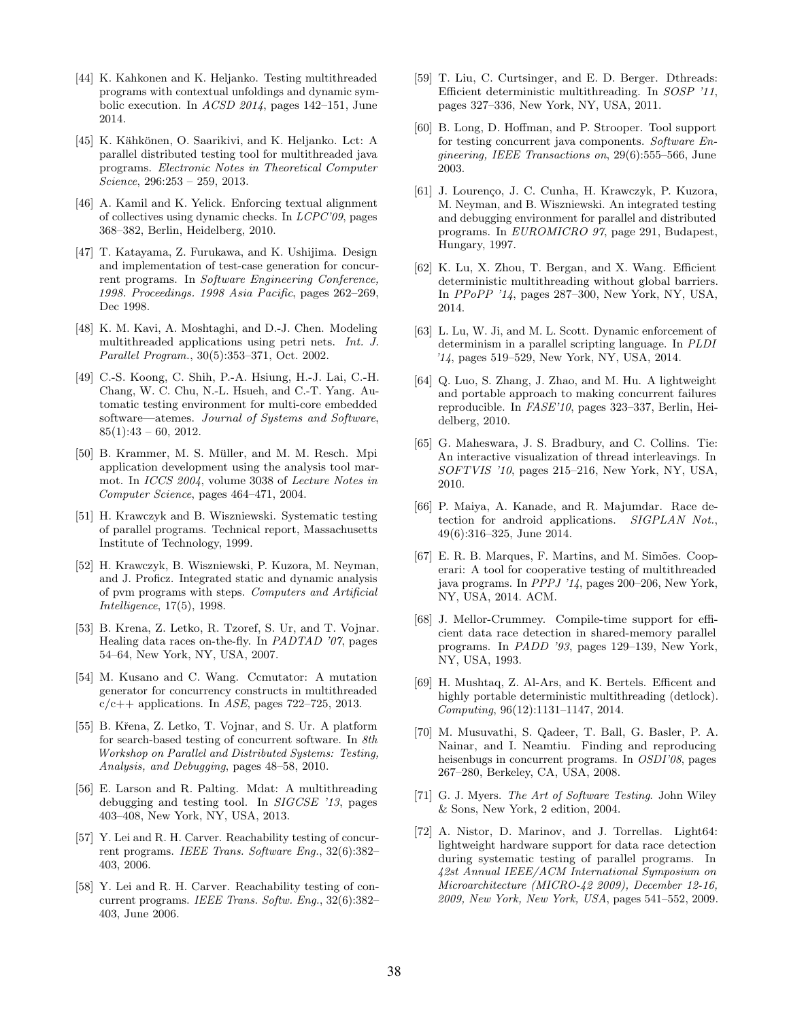- <span id="page-7-26"></span>[44] K. Kahkonen and K. Heljanko. Testing multithreaded programs with contextual unfoldings and dynamic symbolic execution. In ACSD 2014, pages 142–151, June 2014.
- <span id="page-7-27"></span>[45] K. Kähkönen, O. Saarikivi, and K. Heljanko. Lct: A parallel distributed testing tool for multithreaded java programs. Electronic Notes in Theoretical Computer Science,  $296:253 - 259$ ,  $2013$ .
- <span id="page-7-22"></span>[46] A. Kamil and K. Yelick. Enforcing textual alignment of collectives using dynamic checks. In LCPC'09, pages 368–382, Berlin, Heidelberg, 2010.
- <span id="page-7-3"></span>[47] T. Katayama, Z. Furukawa, and K. Ushijima. Design and implementation of test-case generation for concurrent programs. In Software Engineering Conference, 1998. Proceedings. 1998 Asia Pacific, pages 262–269, Dec 1998.
- <span id="page-7-9"></span>[48] K. M. Kavi, A. Moshtaghi, and D.-J. Chen. Modeling multithreaded applications using petri nets. Int. J. Parallel Program., 30(5):353–371, Oct. 2002.
- <span id="page-7-4"></span>[49] C.-S. Koong, C. Shih, P.-A. Hsiung, H.-J. Lai, C.-H. Chang, W. C. Chu, N.-L. Hsueh, and C.-T. Yang. Automatic testing environment for multi-core embedded software—atemes. Journal of Systems and Software,  $85(1):43 - 60, 2012.$
- <span id="page-7-16"></span>[50] B. Krammer, M. S. Müller, and M. M. Resch. Mpi application development using the analysis tool marmot. In ICCS 2004, volume 3038 of Lecture Notes in Computer Science, pages 464–471, 2004.
- <span id="page-7-2"></span>[51] H. Krawczyk and B. Wiszniewski. Systematic testing of parallel programs. Technical report, Massachusetts Institute of Technology, 1999.
- <span id="page-7-28"></span>[52] H. Krawczyk, B. Wiszniewski, P. Kuzora, M. Neyman, and J. Proficz. Integrated static and dynamic analysis of pvm programs with steps. Computers and Artificial Intelligence, 17(5), 1998.
- <span id="page-7-12"></span>[53] B. Krena, Z. Letko, R. Tzoref, S. Ur, and T. Vojnar. Healing data races on-the-fly. In PADTAD '07, pages 54–64, New York, NY, USA, 2007.
- <span id="page-7-5"></span>[54] M. Kusano and C. Wang. Ccmutator: A mutation generator for concurrency constructs in multithreaded  $c/c++$  applications. In ASE, pages 722–725, 2013.
- <span id="page-7-7"></span>[55] B. Křena, Z. Letko, T. Vojnar, and S. Ur. A platform for search-based testing of concurrent software. In 8th Workshop on Parallel and Distributed Systems: Testing, Analysis, and Debugging, pages 48–58, 2010.
- <span id="page-7-14"></span>[56] E. Larson and R. Palting. Mdat: A multithreading debugging and testing tool. In SIGCSE '13, pages 403–408, New York, NY, USA, 2013.
- <span id="page-7-1"></span>[57] Y. Lei and R. H. Carver. Reachability testing of concurrent programs. IEEE Trans. Software Eng., 32(6):382– 403, 2006.
- <span id="page-7-19"></span>[58] Y. Lei and R. H. Carver. Reachability testing of concurrent programs. IEEE Trans. Softw. Eng., 32(6):382– 403, June 2006.
- <span id="page-7-17"></span>[59] T. Liu, C. Curtsinger, and E. D. Berger. Dthreads: Efficient deterministic multithreading. In SOSP '11, pages 327–336, New York, NY, USA, 2011.
- <span id="page-7-20"></span>[60] B. Long, D. Hoffman, and P. Strooper. Tool support for testing concurrent java components. Software Engineering, IEEE Transactions on, 29(6):555–566, June 2003.
- <span id="page-7-25"></span>[61] J. Lourenço, J. C. Cunha, H. Krawczyk, P. Kuzora, M. Neyman, and B. Wiszniewski. An integrated testing and debugging environment for parallel and distributed programs. In EUROMICRO 97, page 291, Budapest, Hungary, 1997.
- <span id="page-7-23"></span>[62] K. Lu, X. Zhou, T. Bergan, and X. Wang. Efficient deterministic multithreading without global barriers. In PPoPP '14, pages 287–300, New York, NY, USA, 2014.
- <span id="page-7-24"></span>[63] L. Lu, W. Ji, and M. L. Scott. Dynamic enforcement of determinism in a parallel scripting language. In PLDI '14, pages 519–529, New York, NY, USA, 2014.
- <span id="page-7-11"></span>[64] Q. Luo, S. Zhang, J. Zhao, and M. Hu. A lightweight and portable approach to making concurrent failures reproducible. In FASE'10, pages 323–337, Berlin, Heidelberg, 2010.
- <span id="page-7-6"></span>[65] G. Maheswara, J. S. Bradbury, and C. Collins. Tie: An interactive visualization of thread interleavings. In SOFTVIS '10, pages 215–216, New York, NY, USA, 2010.
- <span id="page-7-10"></span>[66] P. Maiya, A. Kanade, and R. Majumdar. Race detection for android applications. SIGPLAN Not., 49(6):316–325, June 2014.
- <span id="page-7-21"></span>[67] E. R. B. Marques, F. Martins, and M. Simões. Cooperari: A tool for cooperative testing of multithreaded java programs. In PPPJ '14, pages 200–206, New York, NY, USA, 2014. ACM.
- <span id="page-7-15"></span>[68] J. Mellor-Crummey. Compile-time support for efficient data race detection in shared-memory parallel programs. In PADD '93, pages 129–139, New York, NY, USA, 1993.
- <span id="page-7-18"></span>[69] H. Mushtaq, Z. Al-Ars, and K. Bertels. Efficent and highly portable deterministic multithreading (detlock). Computing, 96(12):1131–1147, 2014.
- <span id="page-7-8"></span>[70] M. Musuvathi, S. Qadeer, T. Ball, G. Basler, P. A. Nainar, and I. Neamtiu. Finding and reproducing heisenbugs in concurrent programs. In OSDI'08, pages 267–280, Berkeley, CA, USA, 2008.
- <span id="page-7-0"></span>[71] G. J. Myers. The Art of Software Testing. John Wiley & Sons, New York, 2 edition, 2004.
- <span id="page-7-13"></span>[72] A. Nistor, D. Marinov, and J. Torrellas. Light64: lightweight hardware support for data race detection during systematic testing of parallel programs. In 42st Annual IEEE/ACM International Symposium on Microarchitecture (MICRO-42 2009), December 12-16, 2009, New York, New York, USA, pages 541–552, 2009.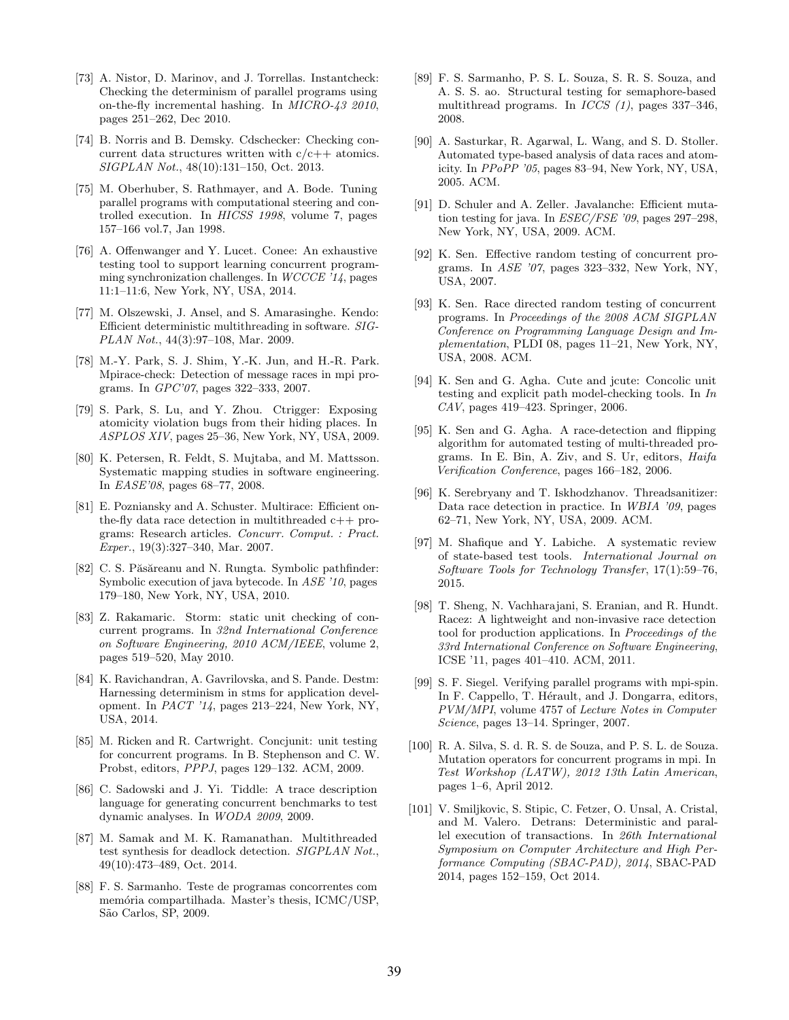- <span id="page-8-22"></span>[73] A. Nistor, D. Marinov, and J. Torrellas. Instantcheck: Checking the determinism of parallel programs using on-the-fly incremental hashing. In MICRO-43 2010, pages 251–262, Dec 2010.
- <span id="page-8-9"></span>[74] B. Norris and B. Demsky. Cdschecker: Checking concurrent data structures written with  $c/c++$  atomics. SIGPLAN Not., 48(10):131–150, Oct. 2013.
- <span id="page-8-26"></span>[75] M. Oberhuber, S. Rathmayer, and A. Bode. Tuning parallel programs with computational steering and controlled execution. In HICSS 1998, volume 7, pages 157–166 vol.7, Jan 1998.
- <span id="page-8-11"></span>[76] A. Offenwanger and Y. Lucet. Conee: An exhaustive testing tool to support learning concurrent programming synchronization challenges. In WCCCE '14, pages 11:1–11:6, New York, NY, USA, 2014.
- <span id="page-8-24"></span>[77] M. Olszewski, J. Ansel, and S. Amarasinghe. Kendo: Efficient deterministic multithreading in software. SIG-PLAN Not., 44(3):97–108, Mar. 2009.
- <span id="page-8-21"></span>[78] M.-Y. Park, S. J. Shim, Y.-K. Jun, and H.-R. Park. Mpirace-check: Detection of message races in mpi programs. In GPC'07, pages 322–333, 2007.
- <span id="page-8-17"></span>[79] S. Park, S. Lu, and Y. Zhou. Ctrigger: Exposing atomicity violation bugs from their hiding places. In ASPLOS XIV, pages 25–36, New York, NY, USA, 2009.
- <span id="page-8-1"></span>[80] K. Petersen, R. Feldt, S. Mujtaba, and M. Mattsson. Systematic mapping studies in software engineering. In EASE'08, pages 68–77, 2008.
- <span id="page-8-19"></span>[81] E. Pozniansky and A. Schuster. Multirace: Efficient onthe-fly data race detection in multithreaded  $c++$  programs: Research articles. Concurr. Comput. : Pract. Exper., 19(3):327–340, Mar. 2007.
- <span id="page-8-27"></span>[82] C. S. Păsăreanu and N. Rungta. Symbolic pathfinder: Symbolic execution of java bytecode. In ASE '10, pages 179–180, New York, NY, USA, 2010.
- <span id="page-8-5"></span>[83] Z. Rakamaric. Storm: static unit checking of concurrent programs. In 32nd International Conference on Software Engineering, 2010 ACM/IEEE, volume 2, pages 519–520, May 2010.
- <span id="page-8-23"></span>[84] K. Ravichandran, A. Gavrilovska, and S. Pande. Destm: Harnessing determinism in stms for application development. In PACT '14, pages 213–224, New York, NY, USA, 2014.
- <span id="page-8-16"></span>[85] M. Ricken and R. Cartwright. Concjunit: unit testing for concurrent programs. In B. Stephenson and C. W. Probst, editors, PPPJ, pages 129–132. ACM, 2009.
- <span id="page-8-3"></span>[86] C. Sadowski and J. Yi. Tiddle: A trace description language for generating concurrent benchmarks to test dynamic analyses. In WODA 2009, 2009.
- <span id="page-8-14"></span>[87] M. Samak and M. K. Ramanathan. Multithreaded test synthesis for deadlock detection. SIGPLAN Not., 49(10):473–489, Oct. 2014.
- <span id="page-8-2"></span>[88] F. S. Sarmanho. Teste de programas concorrentes com memória compartilhada. Master's thesis, ICMC/USP, S˜ao Carlos, SP, 2009.
- <span id="page-8-28"></span>[89] F. S. Sarmanho, P. S. L. Souza, S. R. S. Souza, and A. S. S. ao. Structural testing for semaphore-based multithread programs. In  $ICCS$  (1), pages 337–346, 2008.
- <span id="page-8-13"></span>[90] A. Sasturkar, R. Agarwal, L. Wang, and S. D. Stoller. Automated type-based analysis of data races and atomicity. In PPoPP '05, pages 83–94, New York, NY, USA, 2005. ACM.
- <span id="page-8-6"></span>[91] D. Schuler and A. Zeller. Javalanche: Efficient mutation testing for java. In ESEC/FSE '09, pages 297–298, New York, NY, USA, 2009. ACM.
- <span id="page-8-15"></span>[92] K. Sen. Effective random testing of concurrent programs. In ASE '07, pages 323–332, New York, NY, USA, 2007.
- <span id="page-8-4"></span>[93] K. Sen. Race directed random testing of concurrent programs. In Proceedings of the 2008 ACM SIGPLAN Conference on Programming Language Design and Implementation, PLDI 08, pages 11–21, New York, NY, USA, 2008. ACM.
- <span id="page-8-8"></span>[94] K. Sen and G. Agha. Cute and jcute: Concolic unit testing and explicit path model-checking tools. In In CAV, pages 419–423. Springer, 2006.
- <span id="page-8-12"></span>[95] K. Sen and G. Agha. A race-detection and flipping algorithm for automated testing of multi-threaded programs. In E. Bin, A. Ziv, and S. Ur, editors, Haifa Verification Conference, pages 166–182, 2006.
- <span id="page-8-20"></span>[96] K. Serebryany and T. Iskhodzhanov. Threadsanitizer: Data race detection in practice. In WBIA '09, pages 62–71, New York, NY, USA, 2009. ACM.
- <span id="page-8-0"></span>[97] M. Shafique and Y. Labiche. A systematic review of state-based test tools. International Journal on Software Tools for Technology Transfer, 17(1):59–76, 2015.
- <span id="page-8-18"></span>[98] T. Sheng, N. Vachharajani, S. Eranian, and R. Hundt. Racez: A lightweight and non-invasive race detection tool for production applications. In Proceedings of the 33rd International Conference on Software Engineering, ICSE '11, pages 401–410. ACM, 2011.
- <span id="page-8-10"></span>[99] S. F. Siegel. Verifying parallel programs with mpi-spin. In F. Cappello, T. Hérault, and J. Dongarra, editors, PVM/MPI, volume 4757 of Lecture Notes in Computer Science, pages 13–14. Springer, 2007.
- <span id="page-8-7"></span>[100] R. A. Silva, S. d. R. S. de Souza, and P. S. L. de Souza. Mutation operators for concurrent programs in mpi. In Test Workshop (LATW), 2012 13th Latin American, pages 1–6, April 2012.
- <span id="page-8-25"></span>[101] V. Smiljkovic, S. Stipic, C. Fetzer, O. Unsal, A. Cristal, and M. Valero. Detrans: Deterministic and parallel execution of transactions. In 26th International Symposium on Computer Architecture and High Performance Computing (SBAC-PAD), 2014, SBAC-PAD 2014, pages 152–159, Oct 2014.